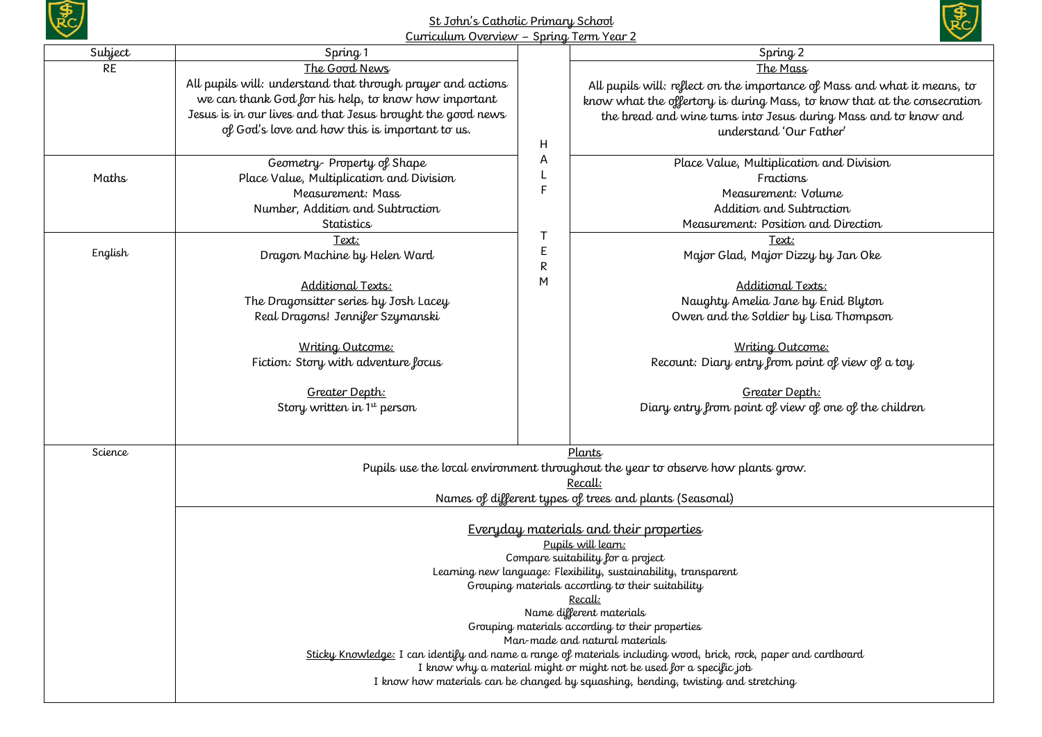

## St John's Catholic Primary School Curriculum Overview – Spring Term Year 2



| <u> Curricuium Overview – Spring Term Year Z</u> |                                                                                                                                                                                        |               |                                                                                  |  |  |  |
|--------------------------------------------------|----------------------------------------------------------------------------------------------------------------------------------------------------------------------------------------|---------------|----------------------------------------------------------------------------------|--|--|--|
| Subject                                          | Spring 1                                                                                                                                                                               |               | Spring <sub>2</sub>                                                              |  |  |  |
| <b>RE</b>                                        | The Good News                                                                                                                                                                          |               | The Mass                                                                         |  |  |  |
|                                                  | All pupils will: understand that through prayer and actions                                                                                                                            |               | All pupils will: reflect on the importance of Mass and what it means, to         |  |  |  |
|                                                  | we can thank God for his help, to know how important                                                                                                                                   |               | know what the offertory is during Mass, to know that at the consecration         |  |  |  |
|                                                  | Jesus is in our lives and that Jesus brought the good news                                                                                                                             |               | the bread and wine turns into Jesus during Mass and to know and                  |  |  |  |
|                                                  | of God's love and how this is important to us.                                                                                                                                         |               | understand 'Our Father'                                                          |  |  |  |
|                                                  |                                                                                                                                                                                        | Н             |                                                                                  |  |  |  |
|                                                  | Geometry-Property of Shape                                                                                                                                                             | Α             | Place Value, Multiplication and Division                                         |  |  |  |
| Maths                                            | Place Value, Multiplication and Division                                                                                                                                               |               | Fractions                                                                        |  |  |  |
|                                                  | Measurement: Mass                                                                                                                                                                      | F             | Measurement: Volume                                                              |  |  |  |
|                                                  | Number, Addition and Subtraction                                                                                                                                                       |               | Addition and Subtraction                                                         |  |  |  |
|                                                  | Statistics                                                                                                                                                                             |               | Measurement: Position and Direction                                              |  |  |  |
|                                                  | Text:                                                                                                                                                                                  | т             | Text:                                                                            |  |  |  |
| English                                          | Dragon Machine by Helen Ward                                                                                                                                                           | R             | E<br>Major Glad, Major Dizzy by Jan Oke                                          |  |  |  |
|                                                  | Additional Texts:                                                                                                                                                                      | M             | Additional Texts:                                                                |  |  |  |
|                                                  | The Dragonsitter series by Josh Lacey                                                                                                                                                  |               | Naughty Amelia Jane by Enid Blyton                                               |  |  |  |
|                                                  | Real Dragons! Jennifer Szymanski                                                                                                                                                       |               | Owen and the Soldier by Lisa Thompson                                            |  |  |  |
|                                                  |                                                                                                                                                                                        |               |                                                                                  |  |  |  |
|                                                  | Writing Outcome:                                                                                                                                                                       |               | Writing Outcome:                                                                 |  |  |  |
|                                                  | Fiction: Story with adventure focus                                                                                                                                                    |               | Recount: Diary entry from point of view of a toy                                 |  |  |  |
|                                                  |                                                                                                                                                                                        |               |                                                                                  |  |  |  |
|                                                  | Greater Depth:                                                                                                                                                                         |               | Greater Depth:                                                                   |  |  |  |
|                                                  | Story written in 1 <sup>st</sup> person                                                                                                                                                |               | Diary entry from point of view of one of the children                            |  |  |  |
|                                                  |                                                                                                                                                                                        |               |                                                                                  |  |  |  |
| Science                                          |                                                                                                                                                                                        | <u>Plants</u> |                                                                                  |  |  |  |
|                                                  |                                                                                                                                                                                        |               | Pupils use the local environment throughout the year to observe how plants grow. |  |  |  |
|                                                  | Recall:                                                                                                                                                                                |               |                                                                                  |  |  |  |
|                                                  | Names of different types of trees and plants (Seasonal)                                                                                                                                |               |                                                                                  |  |  |  |
|                                                  |                                                                                                                                                                                        |               |                                                                                  |  |  |  |
|                                                  | Everyday materials and their properties                                                                                                                                                |               |                                                                                  |  |  |  |
|                                                  | Pupils will learn:                                                                                                                                                                     |               |                                                                                  |  |  |  |
|                                                  | Compare suitability for a project<br>Learning new language: Flexibility, sustainability, transparent                                                                                   |               |                                                                                  |  |  |  |
|                                                  | Grouping materials according to their suitability                                                                                                                                      |               |                                                                                  |  |  |  |
|                                                  | Recall:                                                                                                                                                                                |               |                                                                                  |  |  |  |
|                                                  | Name different materials                                                                                                                                                               |               |                                                                                  |  |  |  |
|                                                  | Grouping materials according to their properties                                                                                                                                       |               |                                                                                  |  |  |  |
|                                                  | Man-made and natural materials                                                                                                                                                         |               |                                                                                  |  |  |  |
|                                                  | Sticky Knowledge: I can identify and name a range of materials including wood, brick, rock, paper and cardboard<br>I know why a material might or might not be used for a specific job |               |                                                                                  |  |  |  |
|                                                  |                                                                                                                                                                                        |               |                                                                                  |  |  |  |
|                                                  | I know how materials can be changed by squashing, bending, twisting and stretching                                                                                                     |               |                                                                                  |  |  |  |
|                                                  |                                                                                                                                                                                        |               |                                                                                  |  |  |  |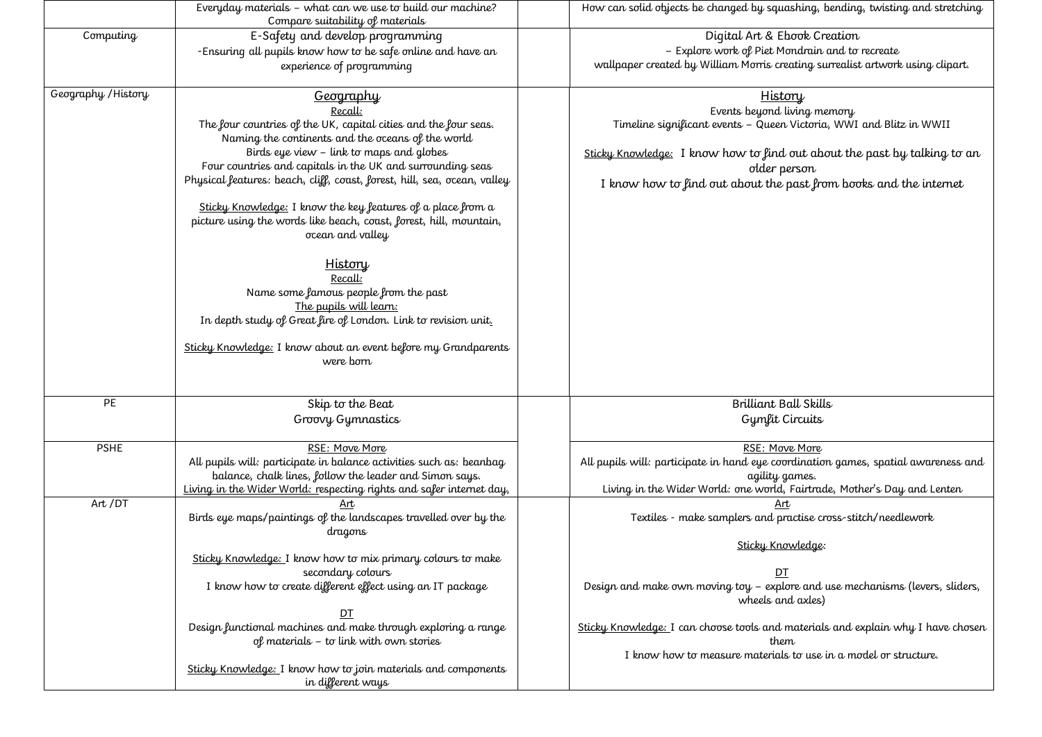|                     | Everyday materials - what can we use to build our machine?<br>Compare suitability of materials                                                                                                                                                                                                                                                                                                                                                                                                                                                                                                                                                                                                                                                      | How can solid objects be changed by squashing, bending, twisting and stretching                                                                                                                                                                                                                                                                                      |
|---------------------|-----------------------------------------------------------------------------------------------------------------------------------------------------------------------------------------------------------------------------------------------------------------------------------------------------------------------------------------------------------------------------------------------------------------------------------------------------------------------------------------------------------------------------------------------------------------------------------------------------------------------------------------------------------------------------------------------------------------------------------------------------|----------------------------------------------------------------------------------------------------------------------------------------------------------------------------------------------------------------------------------------------------------------------------------------------------------------------------------------------------------------------|
| Computing           | E-Safety and develop programming<br>-Ensuring all pupils know how to be safe online and have an<br>experience of programming                                                                                                                                                                                                                                                                                                                                                                                                                                                                                                                                                                                                                        | Digital Art & Ebook Creation<br>- Explore work of Piet Mondrain and to recreate<br>wallpaper created by William Morris creating surrealist artwork using clipart.                                                                                                                                                                                                    |
| Geography / History | <u>Geography</u><br>Recall:<br>The four countries of the UK, capital cities and the four seas.<br>Naming the continents and the oceans of the world<br>Birds eye view - link to maps and globes<br>Four countries and capitals in the UK and surrounding seas<br>Physical features: beach, cliff, coast, forest, hill, sea, ocean, valley<br>Sticky Knowledge: I know the key features of a place from a<br>picture using the words like beach, coast, forest, hill, mountain,<br>ocean and valley<br><b>History</b><br>Recall:<br>Name some famous people from the past<br>The pupils will learn:<br>In depth study of Great fire of London. Link to revision unit.<br>Sticky Knowledge: I know about an event before my Grandparents<br>were born | History<br>Events beyond living memory<br>Timeline significant events - Queen Victoria, WWI and Blitz in WWII<br>Sticky Knowledge: I know how to find out about the past by talking to an<br>older person<br>I know how to find out about the past from books and the internet                                                                                       |
| PE                  | Skip to the Beat<br>Groovy Gymnastics                                                                                                                                                                                                                                                                                                                                                                                                                                                                                                                                                                                                                                                                                                               | Brilliant Ball Skills<br>Gymfit Circuits                                                                                                                                                                                                                                                                                                                             |
| <b>PSHE</b>         | RSE: Move More<br>All pupils will: participate in balance activities such as: beanbag.<br>balance, chalk lines, follow the leader and Simon says.<br>Living in the Wider World: respecting rights and safer internet day,                                                                                                                                                                                                                                                                                                                                                                                                                                                                                                                           | RSE: Move More<br>All pupils will: participate in hand eye coordination games, spatial awareness and<br>agility games.<br>Living in the Wider World: one world, Fairtrade, Mother's Day and Lenten                                                                                                                                                                   |
| Art /DT             | Art<br>Birds eye maps/paintings of the landscapes travelled over by the<br>dragons<br>Sticky Knowledge: I know how to mix primary colours to make<br>secondary colours<br>I know how to create different effect using an IT package<br>DT<br>Design functional machines and make through exploring a range<br>of materials - to link with own stories<br>Sticky Knowledge: I know how to join materials and components<br>in different ways                                                                                                                                                                                                                                                                                                         | Art<br>Textiles - make samplers and practise cross-stitch/needlework<br>Sticky Knowledge:<br>DT<br>Design and make own moving toy - explore and use mechanisms (levers, sliders,<br>wheels and axles)<br>Sticky Knowledge: I can choose tools and materials and explain why I have chosen<br>them<br>I know how to measure materials to use in a model or structure. |